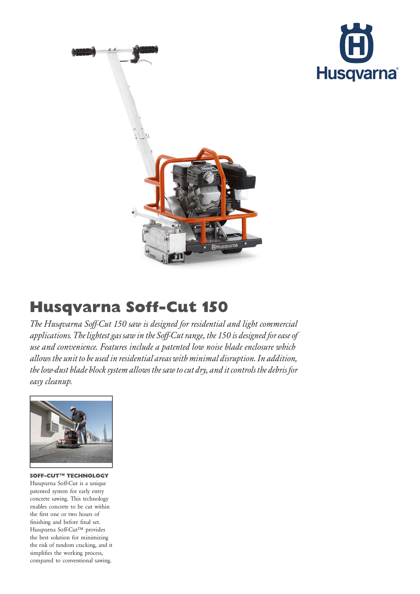



## Husqvarna Soff-Cut 150

The Husqvarna Soff-Cut 150 saw is designed for residential and light commercial applications. The lightest gas saw in the Soff-Cut range, the 150 is designed for ease of use and convenience. Features include a patented low noise blade enclosure which allows the unit to be used in residential areas with minimal disruption. In addition, the low-dust blade block system allows the saw to cut dry, and it controls the debris for easy cleanup.



SOFF-CUT™ TECHNOLOGY Husqvarna Soff-Cut is a unique patented system for early entry concrete sawing. This technology enables concrete to be cut within the first one or two hours of finishing and before final set. Husqvarna Soff-Cut™ provides the best solution for minimizing the risk of random cracking, and it simplifies the working process, compared to conventional sawing.